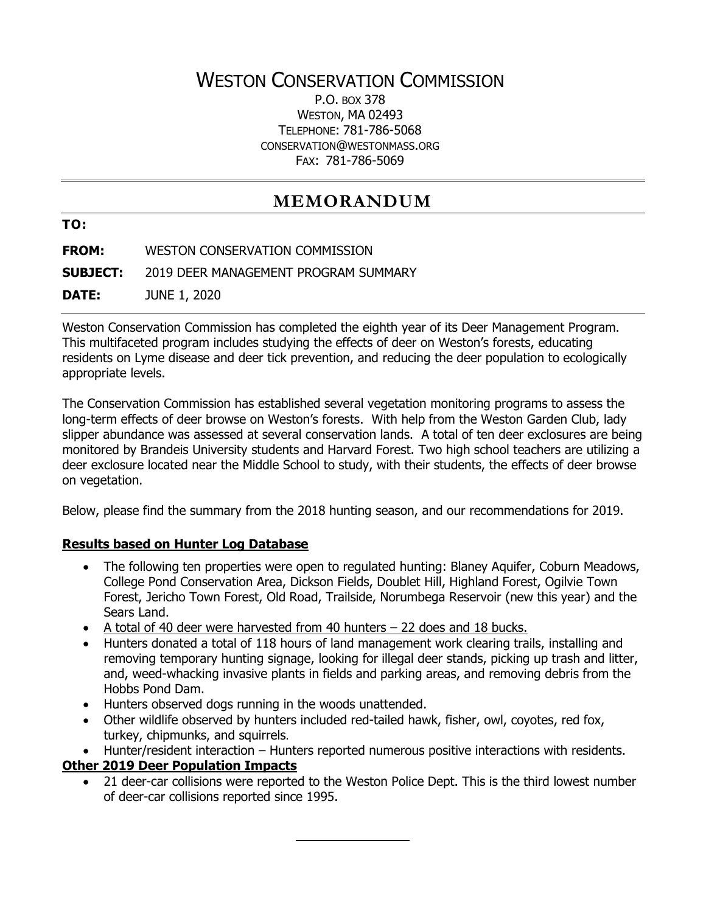# WESTON CONSERVATION COMMISSION

P.O. BOX 378 WESTON, MA 02493 TELEPHONE: 781-786-5068 CONSERVATION@WESTONMASS.ORG FAX: 781-786-5069

## **MEMORANDUM**

**TO:**

**FROM:** WESTON CONSERVATION COMMISSION

**SUBJECT:** 2019 DEER MANAGEMENT PROGRAM SUMMARY

**DATE:** JUNE 1, 2020

Weston Conservation Commission has completed the eighth year of its Deer Management Program. This multifaceted program includes studying the effects of deer on Weston's forests, educating residents on Lyme disease and deer tick prevention, and reducing the deer population to ecologically appropriate levels.

The Conservation Commission has established several vegetation monitoring programs to assess the long-term effects of deer browse on Weston's forests. With help from the Weston Garden Club, lady slipper abundance was assessed at several conservation lands. A total of ten deer exclosures are being monitored by Brandeis University students and Harvard Forest. Two high school teachers are utilizing a deer exclosure located near the Middle School to study, with their students, the effects of deer browse on vegetation.

Below, please find the summary from the 2018 hunting season, and our recommendations for 2019.

### **Results based on Hunter Log Database**

- The following ten properties were open to regulated hunting: Blaney Aquifer, Coburn Meadows, College Pond Conservation Area, Dickson Fields, Doublet Hill, Highland Forest, Ogilvie Town Forest, Jericho Town Forest, Old Road, Trailside, Norumbega Reservoir (new this year) and the Sears Land.
- A total of 40 deer were harvested from 40 hunters 22 does and 18 bucks.
- Hunters donated a total of 118 hours of land management work clearing trails, installing and removing temporary hunting signage, looking for illegal deer stands, picking up trash and litter, and, weed-whacking invasive plants in fields and parking areas, and removing debris from the Hobbs Pond Dam.
- Hunters observed dogs running in the woods unattended.
- Other wildlife observed by hunters included red-tailed hawk, fisher, owl, coyotes, red fox, turkey, chipmunks, and squirrels.
- Hunter/resident interaction Hunters reported numerous positive interactions with residents.

### **Other 2019 Deer Population Impacts**

• 21 deer-car collisions were reported to the Weston Police Dept. This is the third lowest number of deer-car collisions reported since 1995.